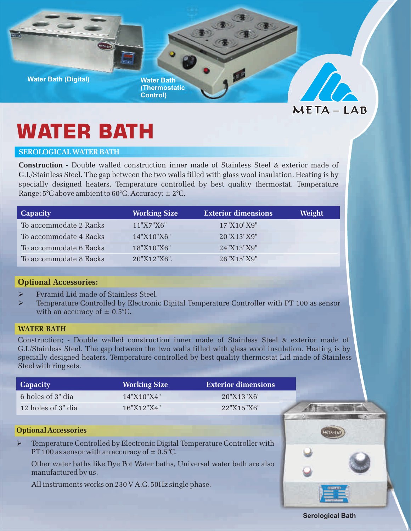

**(Thermostatic Control)**



# **WATER BATH**

## **SEROLOGICAL WATER BATH**

**Construction -** Double walled construction inner made of Stainless Steel & exterior made of G.I./Stainless Steel. The gap between the two walls filled with glass wool insulation. Heating is by specially designed heaters. Temperature controlled by best quality thermostat. Temperature Range:  $5^{\circ}$ C above ambient to  $60^{\circ}$ C. Accuracy:  $\pm 2^{\circ}$ C.

| <b>Capacity</b>        | <b>Working Size</b> | <b>Exterior dimensions</b> | Weight |
|------------------------|---------------------|----------------------------|--------|
| To accommodate 2 Racks | 11"X7"X6"           | 17"X10"X9"                 |        |
| To accommodate 4 Racks | 14"X10"X6"          | 20"X13"X9"                 |        |
| To accommodate 6 Racks | 18"X10"X6"          | 24"X13"X9"                 |        |
| To accommodate 8 Racks | 20"X12"X6".         | 26"X15"X9"                 |        |

# **Optional A ccessories:**

- Ø Pyramid Lid made of Stainless Steel.
- ØTemperature Controlled by Electronic Digital Temperature Controller with PT 100 as sensor with an accuracy of  $\pm$  0.5°C.

## **WATER BATH**

Construction; - Double walled construction inner made of Stainless Steel & exterior made of G.I./Stainless Steel. The gap between the two walls filled with glass wool insulation. Heating is by specially designed heaters. Temperature controlled by best quality thermostat Lid made of Stainless Steel with ring sets.

| Capacity           | <b>Working Size</b> | <b>Exterior dimensions</b> |
|--------------------|---------------------|----------------------------|
| 6 holes of 3" dia  | 14"X10"X4"          | 20''X13''X6''              |
| 12 holes of 3" dia | 16"X12"X4"          | 22"X15"X6"                 |

#### **Optional Accessories**

Temperature Controlled by Electronic Digital Temperature Controller with Ø PT 100 as sensor with an accuracy of  $\pm$  0.5°C.

Other water baths like Dye Pot Water baths, Universal water bath are also manufactured by us.

All instruments works on 230 V A.C. 50Hz single phase.



**Serological Bath**